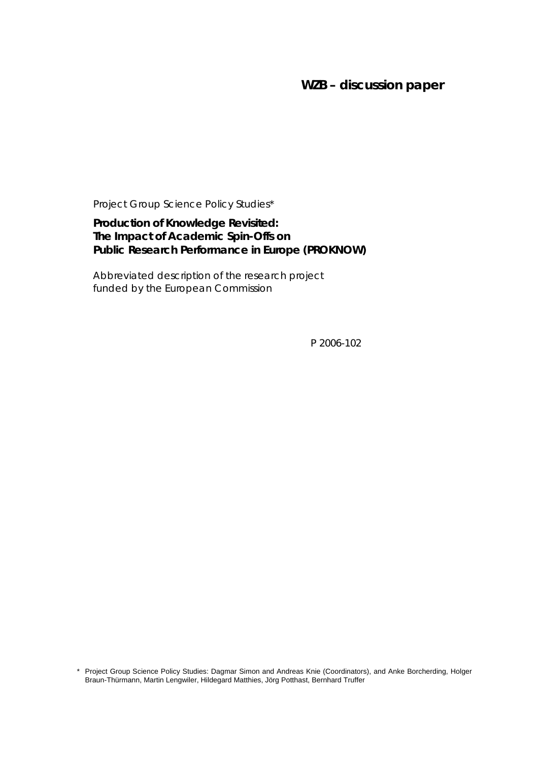# **WZB – discussion paper**

Project Group Science Policy Studies\*

## **Production of Knowledge Revisited: The Impact of Academic Spin-Offs on Public Research Performance in Europe (PROKNOW)**

Abbreviated description of the research project funded by the European Commission

P 2006-102

\* Project Group Science Policy Studies: Dagmar Simon and Andreas Knie (Coordinators), and Anke Borcherding, Holger Braun-Thürmann, Martin Lengwiler, Hildegard Matthies, Jörg Potthast, Bernhard Truffer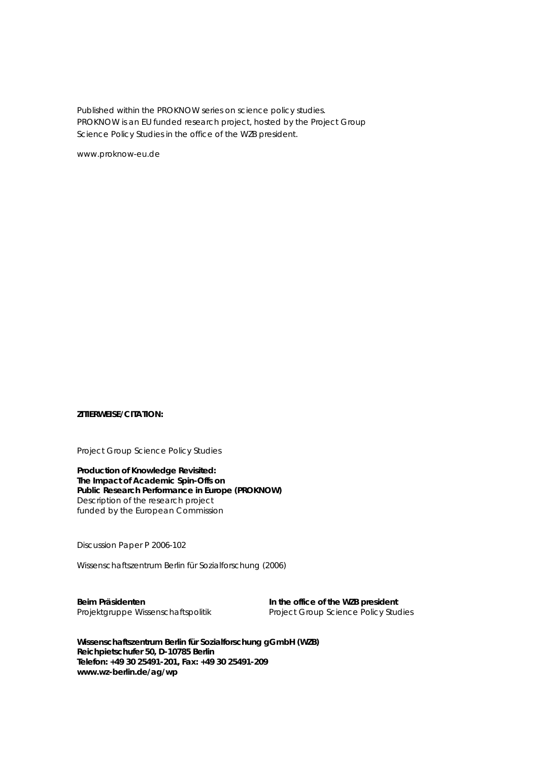Published within the PROKNOW series on science policy studies. PROKNOW is an EU funded research project, hosted by the Project Group Science Policy Studies in the office of the WZB president.

www.proknow-eu.de

#### **ZITIERWEISE/CITATION:**

Project Group Science Policy Studies

**Production of Knowledge Revisited: The Impact of Academic Spin-Offs on Public Research Performance in Europe (PROKNOW)**  Description of the research project funded by the European Commission

*Discussion Paper P 2006-102* 

Wissenschaftszentrum Berlin für Sozialforschung (2006)

Beim Präsidenten **In the office of the WZB president** 

Projektgruppe Wissenschaftspolitik Project Group Science Policy Studies

**Wissenschaftszentrum Berlin für Sozialforschung gGmbH (WZB) Reichpietschufer 50, D-10785 Berlin Telefon: +49 30 25491-201, Fax: +49 30 25491-209 www.wz-berlin.de/ag/wp**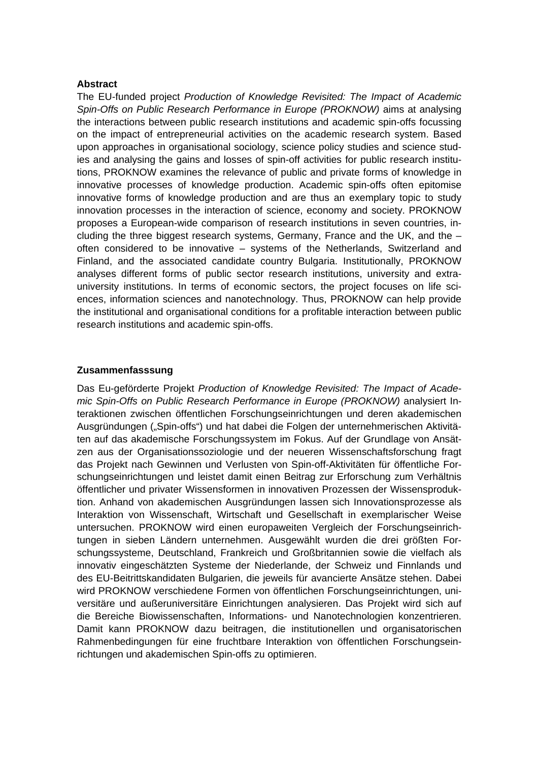#### **Abstract**

The EU-funded project *Production of Knowledge Revisited: The Impact of Academic Spin-Offs on Public Research Performance in Europe (PROKNOW)* aims at analysing the interactions between public research institutions and academic spin-offs focussing on the impact of entrepreneurial activities on the academic research system. Based upon approaches in organisational sociology, science policy studies and science studies and analysing the gains and losses of spin-off activities for public research institutions, PROKNOW examines the relevance of public and private forms of knowledge in innovative processes of knowledge production. Academic spin-offs often epitomise innovative forms of knowledge production and are thus an exemplary topic to study innovation processes in the interaction of science, economy and society. PROKNOW proposes a European-wide comparison of research institutions in seven countries, including the three biggest research systems, Germany, France and the UK, and the  $$ often considered to be innovative – systems of the Netherlands, Switzerland and Finland, and the associated candidate country Bulgaria. Institutionally, PROKNOW analyses different forms of public sector research institutions, university and extrauniversity institutions. In terms of economic sectors, the project focuses on life sciences, information sciences and nanotechnology. Thus, PROKNOW can help provide the institutional and organisational conditions for a profitable interaction between public research institutions and academic spin-offs.

#### **Zusammenfasssung**

Das Eu-geförderte Projekt *Production of Knowledge Revisited: The Impact of Academic Spin-Offs on Public Research Performance in Europe (PROKNOW)* analysiert Interaktionen zwischen öffentlichen Forschungseinrichtungen und deren akademischen Ausgründungen ("Spin-offs") und hat dabei die Folgen der unternehmerischen Aktivitäten auf das akademische Forschungssystem im Fokus. Auf der Grundlage von Ansätzen aus der Organisationssoziologie und der neueren Wissenschaftsforschung fragt das Projekt nach Gewinnen und Verlusten von Spin-off-Aktivitäten für öffentliche Forschungseinrichtungen und leistet damit einen Beitrag zur Erforschung zum Verhältnis öffentlicher und privater Wissensformen in innovativen Prozessen der Wissensproduktion. Anhand von akademischen Ausgründungen lassen sich Innovationsprozesse als Interaktion von Wissenschaft, Wirtschaft und Gesellschaft in exemplarischer Weise untersuchen. PROKNOW wird einen europaweiten Vergleich der Forschungseinrichtungen in sieben Ländern unternehmen. Ausgewählt wurden die drei größten Forschungssysteme, Deutschland, Frankreich und Großbritannien sowie die vielfach als innovativ eingeschätzten Systeme der Niederlande, der Schweiz und Finnlands und des EU-Beitrittskandidaten Bulgarien, die jeweils für avancierte Ansätze stehen. Dabei wird PROKNOW verschiedene Formen von öffentlichen Forschungseinrichtungen, universitäre und außeruniversitäre Einrichtungen analysieren. Das Projekt wird sich auf die Bereiche Biowissenschaften, Informations- und Nanotechnologien konzentrieren. Damit kann PROKNOW dazu beitragen, die institutionellen und organisatorischen Rahmenbedingungen für eine fruchtbare Interaktion von öffentlichen Forschungseinrichtungen und akademischen Spin-offs zu optimieren.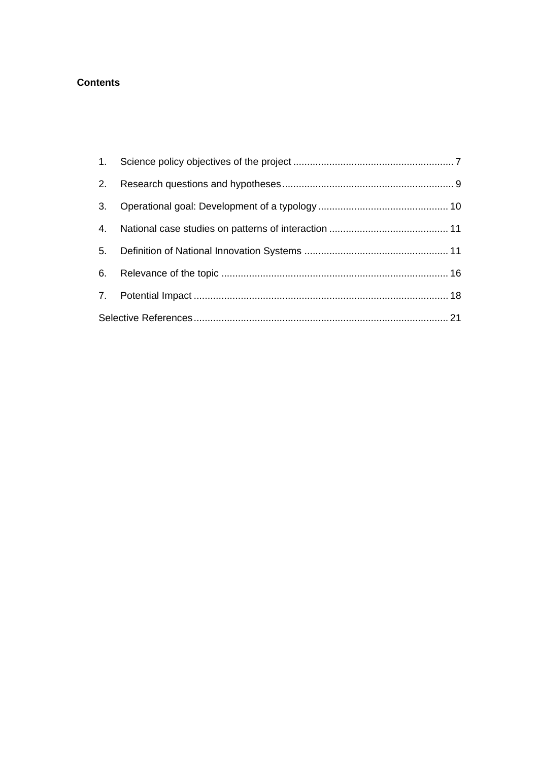### **Contents**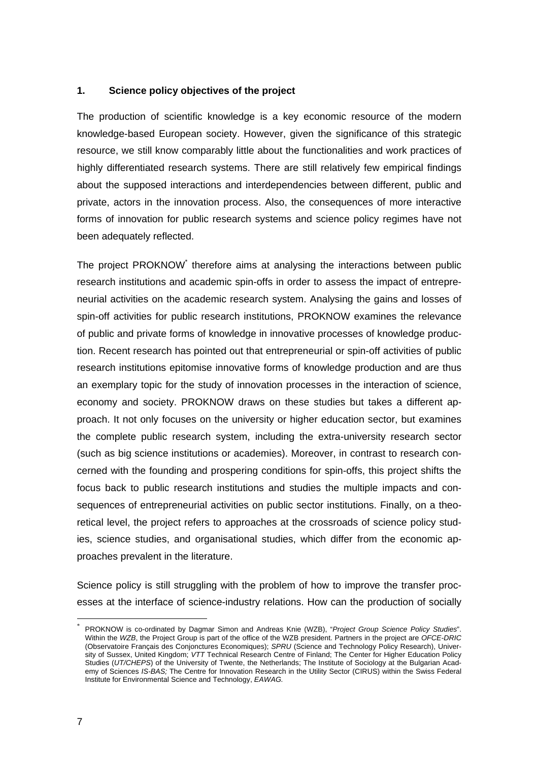### **1. Science policy objectives of the project**

The production of scientific knowledge is a key economic resource of the modern knowledge-based European society. However, given the significance of this strategic resource, we still know comparably little about the functionalities and work practices of highly differentiated research systems. There are still relatively few empirical findings about the supposed interactions and interdependencies between different, public and private, actors in the innovation process. Also, the consequences of more interactive forms of innovation for public research systems and science policy regimes have not been adequately reflected.

The project PROKNOW<sup>\*</sup> therefore aims at analysing the interactions between public research institutions and academic spin-offs in order to assess the impact of entrepreneurial activities on the academic research system. Analysing the gains and losses of spin-off activities for public research institutions, PROKNOW examines the relevance of public and private forms of knowledge in innovative processes of knowledge production. Recent research has pointed out that entrepreneurial or spin-off activities of public research institutions epitomise innovative forms of knowledge production and are thus an exemplary topic for the study of innovation processes in the interaction of science, economy and society. PROKNOW draws on these studies but takes a different approach. It not only focuses on the university or higher education sector, but examines the complete public research system, including the extra-university research sector (such as big science institutions or academies). Moreover, in contrast to research concerned with the founding and prospering conditions for spin-offs, this project shifts the focus back to public research institutions and studies the multiple impacts and consequences of entrepreneurial activities on public sector institutions. Finally, on a theoretical level, the project refers to approaches at the crossroads of science policy studies, science studies, and organisational studies, which differ from the economic approaches prevalent in the literature.

Science policy is still struggling with the problem of how to improve the transfer processes at the interface of science-industry relations. How can the production of socially

 $\overline{a}$ 

<sup>\*</sup> PROKNOW is co-ordinated by Dagmar Simon and Andreas Knie (WZB), "*Project Group Science Policy Studies*". Within the *WZB*, the Project Group is part of the office of the WZB president. Partners in the project are *OFCE-DRIC* (Observatoire Français des Conjonctures Economiques); *SPRU* (Science and Technology Policy Research), University of Sussex, United Kingdom; *VTT* Technical Research Centre of Finland; The Center for Higher Education Policy Studies (*UT/CHEPS*) of the University of Twente, the Netherlands; The Institute of Sociology at the Bulgarian Academy of Sciences *IS-BAS;* The Centre for Innovation Research in the Utility Sector (CIRUS) within the Swiss Federal Institute for Environmental Science and Technology, *EAWAG.*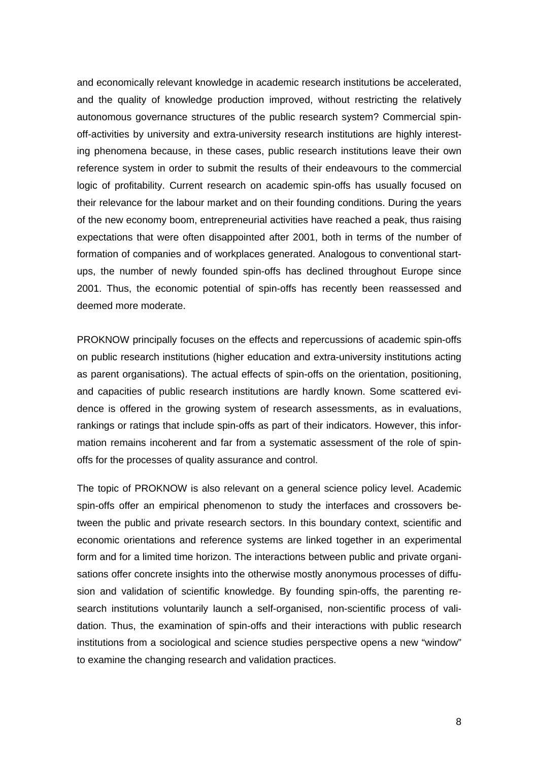and economically relevant knowledge in academic research institutions be accelerated, and the quality of knowledge production improved, without restricting the relatively autonomous governance structures of the public research system? Commercial spinoff-activities by university and extra-university research institutions are highly interesting phenomena because, in these cases, public research institutions leave their own reference system in order to submit the results of their endeavours to the commercial logic of profitability. Current research on academic spin-offs has usually focused on their relevance for the labour market and on their founding conditions. During the years of the new economy boom, entrepreneurial activities have reached a peak, thus raising expectations that were often disappointed after 2001, both in terms of the number of formation of companies and of workplaces generated. Analogous to conventional startups, the number of newly founded spin-offs has declined throughout Europe since 2001. Thus, the economic potential of spin-offs has recently been reassessed and deemed more moderate.

PROKNOW principally focuses on the effects and repercussions of academic spin-offs on public research institutions (higher education and extra-university institutions acting as parent organisations). The actual effects of spin-offs on the orientation, positioning, and capacities of public research institutions are hardly known. Some scattered evidence is offered in the growing system of research assessments, as in evaluations, rankings or ratings that include spin-offs as part of their indicators. However, this information remains incoherent and far from a systematic assessment of the role of spinoffs for the processes of quality assurance and control.

The topic of PROKNOW is also relevant on a general science policy level. Academic spin-offs offer an empirical phenomenon to study the interfaces and crossovers between the public and private research sectors. In this boundary context, scientific and economic orientations and reference systems are linked together in an experimental form and for a limited time horizon. The interactions between public and private organisations offer concrete insights into the otherwise mostly anonymous processes of diffusion and validation of scientific knowledge. By founding spin-offs, the parenting research institutions voluntarily launch a self-organised, non-scientific process of validation. Thus, the examination of spin-offs and their interactions with public research institutions from a sociological and science studies perspective opens a new "window" to examine the changing research and validation practices.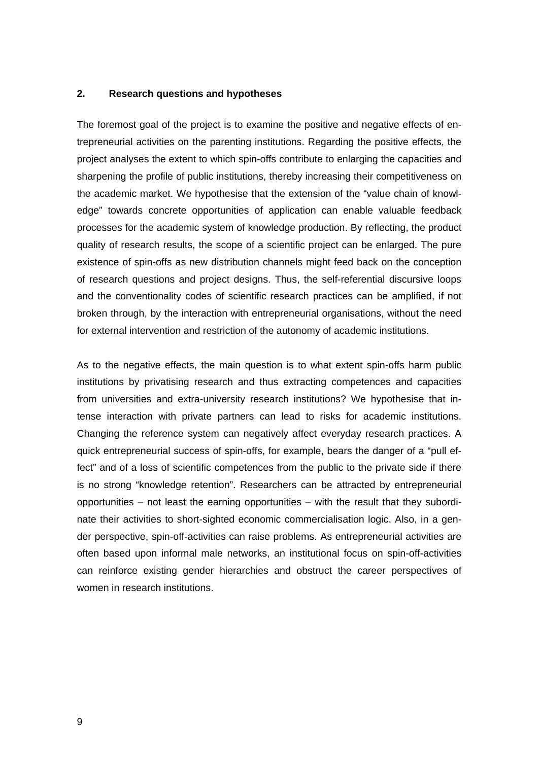#### **2. Research questions and hypotheses**

The foremost goal of the project is to examine the positive and negative effects of entrepreneurial activities on the parenting institutions. Regarding the positive effects, the project analyses the extent to which spin-offs contribute to enlarging the capacities and sharpening the profile of public institutions, thereby increasing their competitiveness on the academic market. We hypothesise that the extension of the "value chain of knowledge" towards concrete opportunities of application can enable valuable feedback processes for the academic system of knowledge production. By reflecting, the product quality of research results, the scope of a scientific project can be enlarged. The pure existence of spin-offs as new distribution channels might feed back on the conception of research questions and project designs. Thus, the self-referential discursive loops and the conventionality codes of scientific research practices can be amplified, if not broken through, by the interaction with entrepreneurial organisations, without the need for external intervention and restriction of the autonomy of academic institutions.

As to the negative effects, the main question is to what extent spin-offs harm public institutions by privatising research and thus extracting competences and capacities from universities and extra-university research institutions? We hypothesise that intense interaction with private partners can lead to risks for academic institutions. Changing the reference system can negatively affect everyday research practices. A quick entrepreneurial success of spin-offs, for example, bears the danger of a "pull effect" and of a loss of scientific competences from the public to the private side if there is no strong "knowledge retention". Researchers can be attracted by entrepreneurial opportunities – not least the earning opportunities – with the result that they subordinate their activities to short-sighted economic commercialisation logic. Also, in a gender perspective, spin-off-activities can raise problems. As entrepreneurial activities are often based upon informal male networks, an institutional focus on spin-off-activities can reinforce existing gender hierarchies and obstruct the career perspectives of women in research institutions.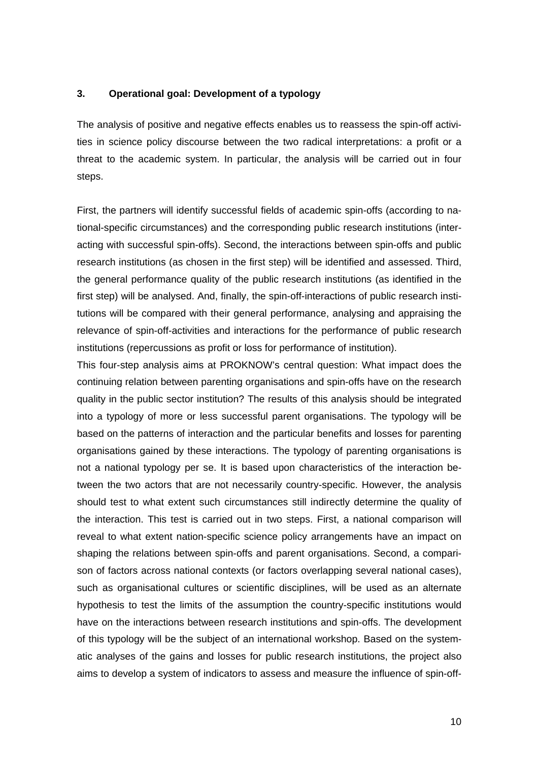### **3. Operational goal: Development of a typology**

The analysis of positive and negative effects enables us to reassess the spin-off activities in science policy discourse between the two radical interpretations: a profit or a threat to the academic system. In particular, the analysis will be carried out in four steps.

First, the partners will identify successful fields of academic spin-offs (according to national-specific circumstances) and the corresponding public research institutions (interacting with successful spin-offs). Second, the interactions between spin-offs and public research institutions (as chosen in the first step) will be identified and assessed. Third, the general performance quality of the public research institutions (as identified in the first step) will be analysed. And, finally, the spin-off-interactions of public research institutions will be compared with their general performance, analysing and appraising the relevance of spin-off-activities and interactions for the performance of public research institutions (repercussions as profit or loss for performance of institution).

This four-step analysis aims at PROKNOW's central question: What impact does the continuing relation between parenting organisations and spin-offs have on the research quality in the public sector institution? The results of this analysis should be integrated into a typology of more or less successful parent organisations. The typology will be based on the patterns of interaction and the particular benefits and losses for parenting organisations gained by these interactions. The typology of parenting organisations is not a national typology per se. It is based upon characteristics of the interaction between the two actors that are not necessarily country-specific. However, the analysis should test to what extent such circumstances still indirectly determine the quality of the interaction. This test is carried out in two steps. First, a national comparison will reveal to what extent nation-specific science policy arrangements have an impact on shaping the relations between spin-offs and parent organisations. Second, a comparison of factors across national contexts (or factors overlapping several national cases), such as organisational cultures or scientific disciplines, will be used as an alternate hypothesis to test the limits of the assumption the country-specific institutions would have on the interactions between research institutions and spin-offs. The development of this typology will be the subject of an international workshop. Based on the systematic analyses of the gains and losses for public research institutions, the project also aims to develop a system of indicators to assess and measure the influence of spin-off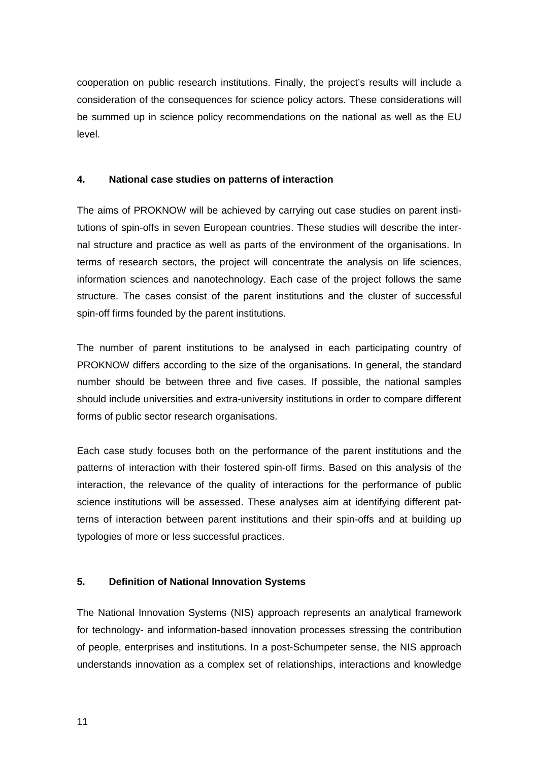cooperation on public research institutions. Finally, the project's results will include a consideration of the consequences for science policy actors. These considerations will be summed up in science policy recommendations on the national as well as the EU level.

### **4. National case studies on patterns of interaction**

The aims of PROKNOW will be achieved by carrying out case studies on parent institutions of spin-offs in seven European countries. These studies will describe the internal structure and practice as well as parts of the environment of the organisations. In terms of research sectors, the project will concentrate the analysis on life sciences, information sciences and nanotechnology. Each case of the project follows the same structure. The cases consist of the parent institutions and the cluster of successful spin-off firms founded by the parent institutions.

The number of parent institutions to be analysed in each participating country of PROKNOW differs according to the size of the organisations. In general, the standard number should be between three and five cases. If possible, the national samples should include universities and extra-university institutions in order to compare different forms of public sector research organisations.

Each case study focuses both on the performance of the parent institutions and the patterns of interaction with their fostered spin-off firms. Based on this analysis of the interaction, the relevance of the quality of interactions for the performance of public science institutions will be assessed. These analyses aim at identifying different patterns of interaction between parent institutions and their spin-offs and at building up typologies of more or less successful practices.

## **5. Definition of National Innovation Systems**

The National Innovation Systems (NIS) approach represents an analytical framework for technology- and information-based innovation processes stressing the contribution of people, enterprises and institutions. In a post-Schumpeter sense, the NIS approach understands innovation as a complex set of relationships, interactions and knowledge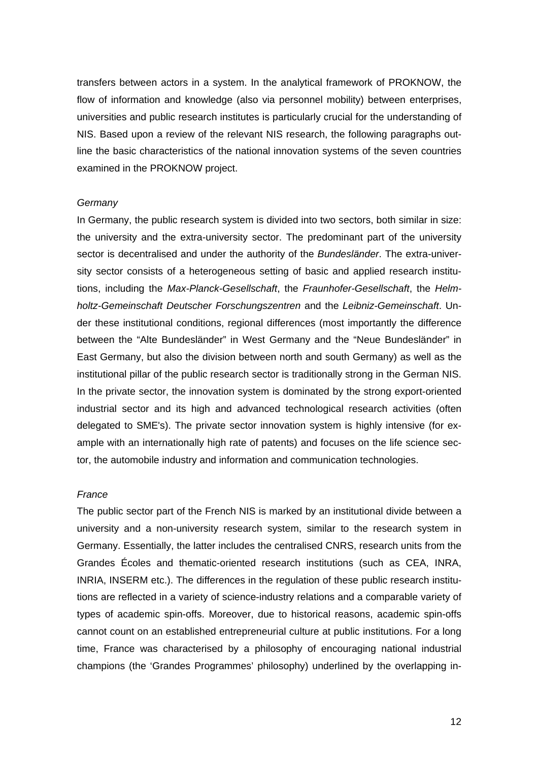transfers between actors in a system. In the analytical framework of PROKNOW, the flow of information and knowledge (also via personnel mobility) between enterprises, universities and public research institutes is particularly crucial for the understanding of NIS. Based upon a review of the relevant NIS research, the following paragraphs outline the basic characteristics of the national innovation systems of the seven countries examined in the PROKNOW project.

#### *Germany*

In Germany, the public research system is divided into two sectors, both similar in size: the university and the extra-university sector. The predominant part of the university sector is decentralised and under the authority of the *Bundesländer*. The extra-university sector consists of a heterogeneous setting of basic and applied research institutions, including the *Max-Planck-Gesellschaft*, the *Fraunhofer-Gesellschaft*, the *Helmholtz-Gemeinschaft Deutscher Forschungszentren* and the *Leibniz-Gemeinschaft*. Under these institutional conditions, regional differences (most importantly the difference between the "Alte Bundesländer" in West Germany and the "Neue Bundesländer" in East Germany, but also the division between north and south Germany) as well as the institutional pillar of the public research sector is traditionally strong in the German NIS. In the private sector, the innovation system is dominated by the strong export-oriented industrial sector and its high and advanced technological research activities (often delegated to SME's). The private sector innovation system is highly intensive (for example with an internationally high rate of patents) and focuses on the life science sector, the automobile industry and information and communication technologies.

#### *France*

The public sector part of the French NIS is marked by an institutional divide between a university and a non-university research system, similar to the research system in Germany. Essentially, the latter includes the centralised CNRS, research units from the Grandes Écoles and thematic-oriented research institutions (such as CEA, INRA, INRIA, INSERM etc.). The differences in the regulation of these public research institutions are reflected in a variety of science-industry relations and a comparable variety of types of academic spin-offs. Moreover, due to historical reasons, academic spin-offs cannot count on an established entrepreneurial culture at public institutions. For a long time, France was characterised by a philosophy of encouraging national industrial champions (the 'Grandes Programmes' philosophy) underlined by the overlapping in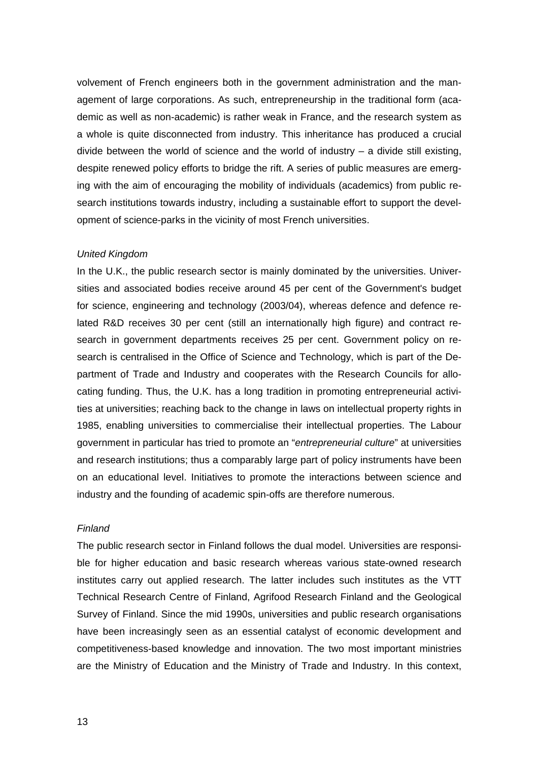volvement of French engineers both in the government administration and the management of large corporations. As such, entrepreneurship in the traditional form (academic as well as non-academic) is rather weak in France, and the research system as a whole is quite disconnected from industry. This inheritance has produced a crucial divide between the world of science and the world of industry – a divide still existing, despite renewed policy efforts to bridge the rift. A series of public measures are emerging with the aim of encouraging the mobility of individuals (academics) from public research institutions towards industry, including a sustainable effort to support the development of science-parks in the vicinity of most French universities.

#### *United Kingdom*

In the U.K., the public research sector is mainly dominated by the universities. Universities and associated bodies receive around 45 per cent of the Government's budget for science, engineering and technology (2003/04), whereas defence and defence related R&D receives 30 per cent (still an internationally high figure) and contract research in government departments receives 25 per cent. Government policy on research is centralised in the Office of Science and Technology, which is part of the Department of Trade and Industry and cooperates with the Research Councils for allocating funding. Thus, the U.K. has a long tradition in promoting entrepreneurial activities at universities; reaching back to the change in laws on intellectual property rights in 1985, enabling universities to commercialise their intellectual properties. The Labour government in particular has tried to promote an "*entrepreneurial culture*" at universities and research institutions; thus a comparably large part of policy instruments have been on an educational level. Initiatives to promote the interactions between science and industry and the founding of academic spin-offs are therefore numerous.

### *Finland*

The public research sector in Finland follows the dual model. Universities are responsible for higher education and basic research whereas various state-owned research institutes carry out applied research. The latter includes such institutes as the VTT Technical Research Centre of Finland, Agrifood Research Finland and the Geological Survey of Finland. Since the mid 1990s, universities and public research organisations have been increasingly seen as an essential catalyst of economic development and competitiveness-based knowledge and innovation. The two most important ministries are the Ministry of Education and the Ministry of Trade and Industry. In this context,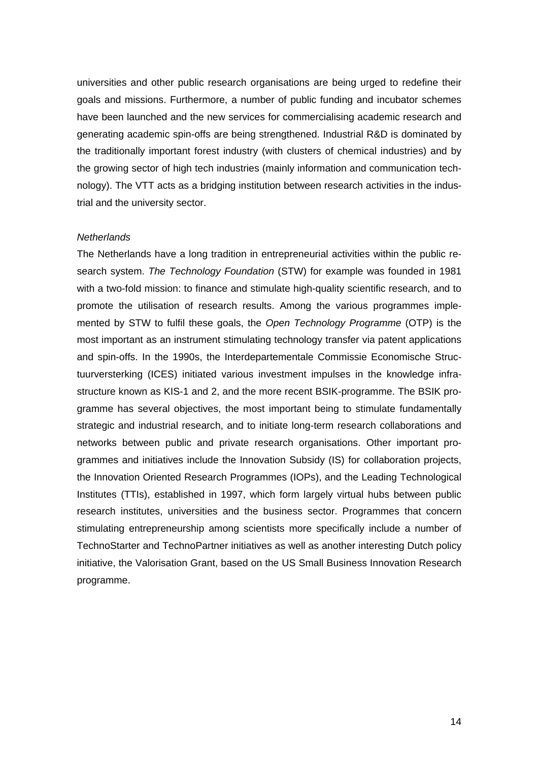universities and other public research organisations are being urged to redefine their goals and missions. Furthermore, a number of public funding and incubator schemes have been launched and the new services for commercialising academic research and generating academic spin-offs are being strengthened. Industrial R&D is dominated by the traditionally important forest industry (with clusters of chemical industries) and by the growing sector of high tech industries (mainly information and communication technology). The VTT acts as a bridging institution between research activities in the industrial and the university sector.

#### *Netherlands*

The Netherlands have a long tradition in entrepreneurial activities within the public research system. *The Technology Foundation* (STW) for example was founded in 1981 with a two-fold mission: to finance and stimulate high-quality scientific research, and to promote the utilisation of research results. Among the various programmes implemented by STW to fulfil these goals, the *Open Technology Programme* (OTP) is the most important as an instrument stimulating technology transfer via patent applications and spin-offs. In the 1990s, the Interdepartementale Commissie Economische Structuurversterking (ICES) initiated various investment impulses in the knowledge infrastructure known as KIS-1 and 2, and the more recent BSIK-programme. The BSIK programme has several objectives, the most important being to stimulate fundamentally strategic and industrial research, and to initiate long-term research collaborations and networks between public and private research organisations. Other important programmes and initiatives include the Innovation Subsidy (IS) for collaboration projects, the Innovation Oriented Research Programmes (IOPs), and the Leading Technological Institutes (TTIs), established in 1997, which form largely virtual hubs between public research institutes, universities and the business sector. Programmes that concern stimulating entrepreneurship among scientists more specifically include a number of TechnoStarter and TechnoPartner initiatives as well as another interesting Dutch policy initiative, the Valorisation Grant, based on the US Small Business Innovation Research programme.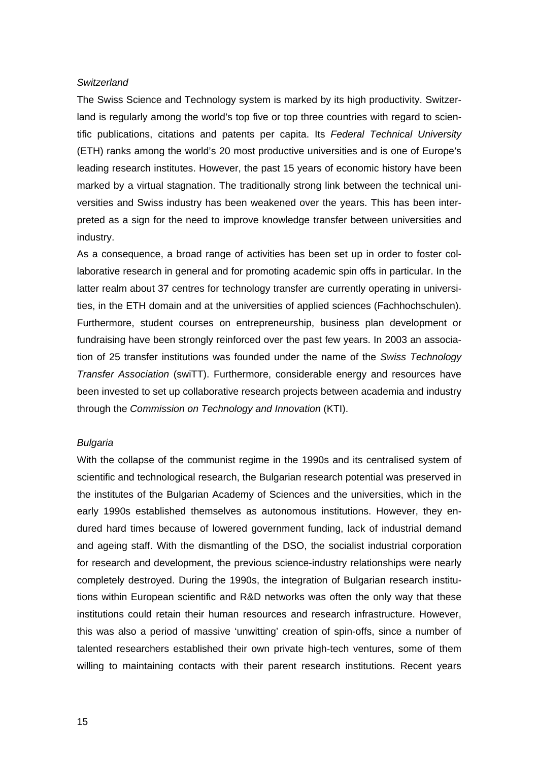#### *Switzerland*

The Swiss Science and Technology system is marked by its high productivity. Switzerland is regularly among the world's top five or top three countries with regard to scientific publications, citations and patents per capita. Its *Federal Technical University* (ETH) ranks among the world's 20 most productive universities and is one of Europe's leading research institutes. However, the past 15 years of economic history have been marked by a virtual stagnation. The traditionally strong link between the technical universities and Swiss industry has been weakened over the years. This has been interpreted as a sign for the need to improve knowledge transfer between universities and industry.

As a consequence, a broad range of activities has been set up in order to foster collaborative research in general and for promoting academic spin offs in particular. In the latter realm about 37 centres for technology transfer are currently operating in universities, in the ETH domain and at the universities of applied sciences (Fachhochschulen). Furthermore, student courses on entrepreneurship, business plan development or fundraising have been strongly reinforced over the past few years. In 2003 an association of 25 transfer institutions was founded under the name of the *Swiss Technology Transfer Association* (swiTT). Furthermore, considerable energy and resources have been invested to set up collaborative research projects between academia and industry through the *Commission on Technology and Innovation* (KTI).

#### *Bulgaria*

With the collapse of the communist regime in the 1990s and its centralised system of scientific and technological research, the Bulgarian research potential was preserved in the institutes of the Bulgarian Academy of Sciences and the universities, which in the early 1990s established themselves as autonomous institutions. However, they endured hard times because of lowered government funding, lack of industrial demand and ageing staff. With the dismantling of the DSO, the socialist industrial corporation for research and development, the previous science-industry relationships were nearly completely destroyed. During the 1990s, the integration of Bulgarian research institutions within European scientific and R&D networks was often the only way that these institutions could retain their human resources and research infrastructure. However, this was also a period of massive 'unwitting' creation of spin-offs, since a number of talented researchers established their own private high-tech ventures, some of them willing to maintaining contacts with their parent research institutions. Recent years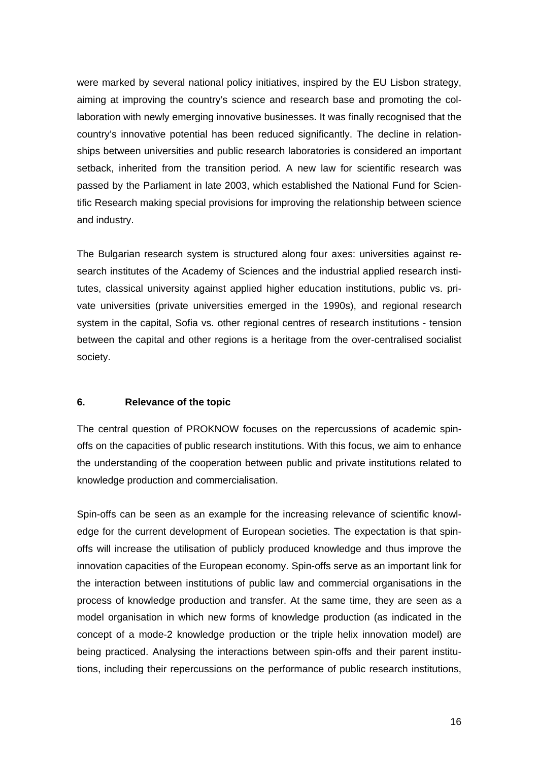were marked by several national policy initiatives, inspired by the EU Lisbon strategy, aiming at improving the country's science and research base and promoting the collaboration with newly emerging innovative businesses. It was finally recognised that the country's innovative potential has been reduced significantly. The decline in relationships between universities and public research laboratories is considered an important setback, inherited from the transition period. A new law for scientific research was passed by the Parliament in late 2003, which established the National Fund for Scientific Research making special provisions for improving the relationship between science and industry.

The Bulgarian research system is structured along four axes: universities against research institutes of the Academy of Sciences and the industrial applied research institutes, classical university against applied higher education institutions, public vs. private universities (private universities emerged in the 1990s), and regional research system in the capital, Sofia vs. other regional centres of research institutions - tension between the capital and other regions is a heritage from the over-centralised socialist society.

### **6. Relevance of the topic**

The central question of PROKNOW focuses on the repercussions of academic spinoffs on the capacities of public research institutions. With this focus, we aim to enhance the understanding of the cooperation between public and private institutions related to knowledge production and commercialisation.

Spin-offs can be seen as an example for the increasing relevance of scientific knowledge for the current development of European societies. The expectation is that spinoffs will increase the utilisation of publicly produced knowledge and thus improve the innovation capacities of the European economy. Spin-offs serve as an important link for the interaction between institutions of public law and commercial organisations in the process of knowledge production and transfer. At the same time, they are seen as a model organisation in which new forms of knowledge production (as indicated in the concept of a mode-2 knowledge production or the triple helix innovation model) are being practiced. Analysing the interactions between spin-offs and their parent institutions, including their repercussions on the performance of public research institutions,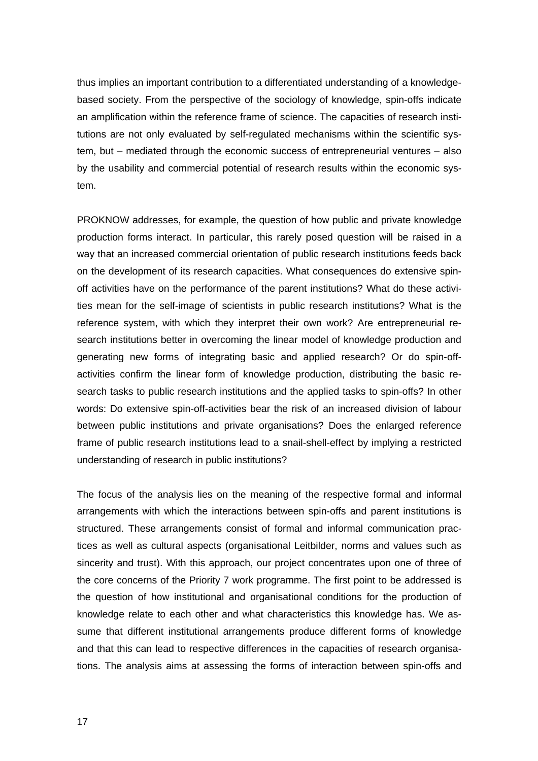thus implies an important contribution to a differentiated understanding of a knowledgebased society. From the perspective of the sociology of knowledge, spin-offs indicate an amplification within the reference frame of science. The capacities of research institutions are not only evaluated by self-regulated mechanisms within the scientific system, but – mediated through the economic success of entrepreneurial ventures – also by the usability and commercial potential of research results within the economic system.

PROKNOW addresses, for example, the question of how public and private knowledge production forms interact. In particular, this rarely posed question will be raised in a way that an increased commercial orientation of public research institutions feeds back on the development of its research capacities. What consequences do extensive spinoff activities have on the performance of the parent institutions? What do these activities mean for the self-image of scientists in public research institutions? What is the reference system, with which they interpret their own work? Are entrepreneurial research institutions better in overcoming the linear model of knowledge production and generating new forms of integrating basic and applied research? Or do spin-offactivities confirm the linear form of knowledge production, distributing the basic research tasks to public research institutions and the applied tasks to spin-offs? In other words: Do extensive spin-off-activities bear the risk of an increased division of labour between public institutions and private organisations? Does the enlarged reference frame of public research institutions lead to a snail-shell-effect by implying a restricted understanding of research in public institutions?

The focus of the analysis lies on the meaning of the respective formal and informal arrangements with which the interactions between spin-offs and parent institutions is structured. These arrangements consist of formal and informal communication practices as well as cultural aspects (organisational Leitbilder, norms and values such as sincerity and trust). With this approach, our project concentrates upon one of three of the core concerns of the Priority 7 work programme. The first point to be addressed is the question of how institutional and organisational conditions for the production of knowledge relate to each other and what characteristics this knowledge has. We assume that different institutional arrangements produce different forms of knowledge and that this can lead to respective differences in the capacities of research organisations. The analysis aims at assessing the forms of interaction between spin-offs and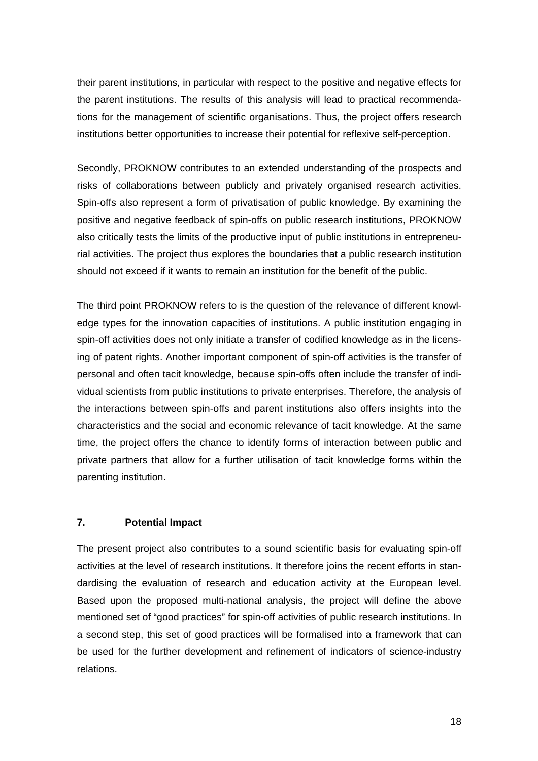their parent institutions, in particular with respect to the positive and negative effects for the parent institutions. The results of this analysis will lead to practical recommendations for the management of scientific organisations. Thus, the project offers research institutions better opportunities to increase their potential for reflexive self-perception.

Secondly, PROKNOW contributes to an extended understanding of the prospects and risks of collaborations between publicly and privately organised research activities. Spin-offs also represent a form of privatisation of public knowledge. By examining the positive and negative feedback of spin-offs on public research institutions, PROKNOW also critically tests the limits of the productive input of public institutions in entrepreneurial activities. The project thus explores the boundaries that a public research institution should not exceed if it wants to remain an institution for the benefit of the public.

The third point PROKNOW refers to is the question of the relevance of different knowledge types for the innovation capacities of institutions. A public institution engaging in spin-off activities does not only initiate a transfer of codified knowledge as in the licensing of patent rights. Another important component of spin-off activities is the transfer of personal and often tacit knowledge, because spin-offs often include the transfer of individual scientists from public institutions to private enterprises. Therefore, the analysis of the interactions between spin-offs and parent institutions also offers insights into the characteristics and the social and economic relevance of tacit knowledge. At the same time, the project offers the chance to identify forms of interaction between public and private partners that allow for a further utilisation of tacit knowledge forms within the parenting institution.

### **7. Potential Impact**

The present project also contributes to a sound scientific basis for evaluating spin-off activities at the level of research institutions. It therefore joins the recent efforts in standardising the evaluation of research and education activity at the European level. Based upon the proposed multi-national analysis, the project will define the above mentioned set of "good practices" for spin-off activities of public research institutions. In a second step, this set of good practices will be formalised into a framework that can be used for the further development and refinement of indicators of science-industry relations.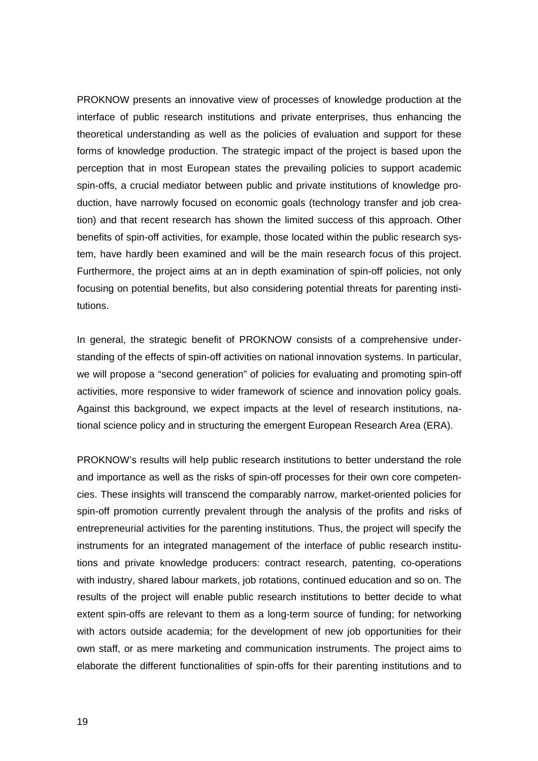PROKNOW presents an innovative view of processes of knowledge production at the interface of public research institutions and private enterprises, thus enhancing the theoretical understanding as well as the policies of evaluation and support for these forms of knowledge production. The strategic impact of the project is based upon the perception that in most European states the prevailing policies to support academic spin-offs, a crucial mediator between public and private institutions of knowledge production, have narrowly focused on economic goals (technology transfer and job creation) and that recent research has shown the limited success of this approach. Other benefits of spin-off activities, for example, those located within the public research system, have hardly been examined and will be the main research focus of this project. Furthermore, the project aims at an in depth examination of spin-off policies, not only focusing on potential benefits, but also considering potential threats for parenting institutions.

In general, the strategic benefit of PROKNOW consists of a comprehensive understanding of the effects of spin-off activities on national innovation systems. In particular, we will propose a "second generation" of policies for evaluating and promoting spin-off activities, more responsive to wider framework of science and innovation policy goals. Against this background, we expect impacts at the level of research institutions, national science policy and in structuring the emergent European Research Area (ERA).

PROKNOW's results will help public research institutions to better understand the role and importance as well as the risks of spin-off processes for their own core competencies. These insights will transcend the comparably narrow, market-oriented policies for spin-off promotion currently prevalent through the analysis of the profits and risks of entrepreneurial activities for the parenting institutions. Thus, the project will specify the instruments for an integrated management of the interface of public research institutions and private knowledge producers: contract research, patenting, co-operations with industry, shared labour markets, job rotations, continued education and so on. The results of the project will enable public research institutions to better decide to what extent spin-offs are relevant to them as a long-term source of funding; for networking with actors outside academia; for the development of new job opportunities for their own staff, or as mere marketing and communication instruments. The project aims to elaborate the different functionalities of spin-offs for their parenting institutions and to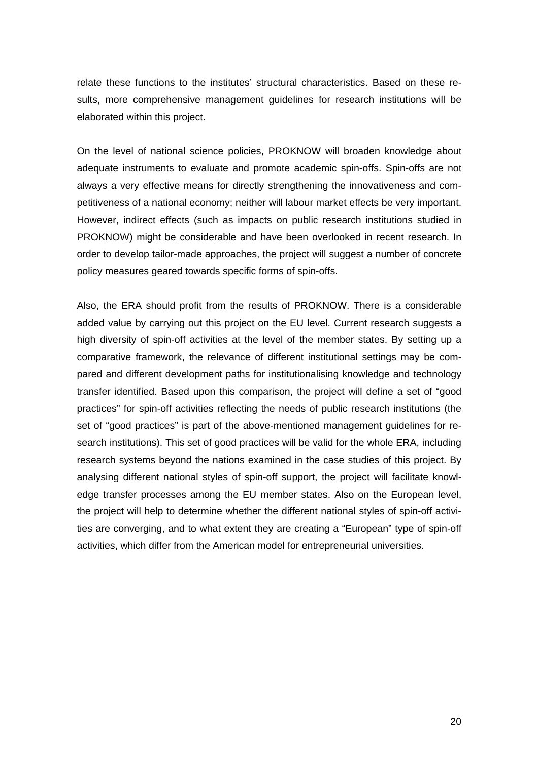relate these functions to the institutes' structural characteristics. Based on these results, more comprehensive management guidelines for research institutions will be elaborated within this project.

On the level of national science policies, PROKNOW will broaden knowledge about adequate instruments to evaluate and promote academic spin-offs. Spin-offs are not always a very effective means for directly strengthening the innovativeness and competitiveness of a national economy; neither will labour market effects be very important. However, indirect effects (such as impacts on public research institutions studied in PROKNOW) might be considerable and have been overlooked in recent research. In order to develop tailor-made approaches, the project will suggest a number of concrete policy measures geared towards specific forms of spin-offs.

Also, the ERA should profit from the results of PROKNOW. There is a considerable added value by carrying out this project on the EU level. Current research suggests a high diversity of spin-off activities at the level of the member states. By setting up a comparative framework, the relevance of different institutional settings may be compared and different development paths for institutionalising knowledge and technology transfer identified. Based upon this comparison, the project will define a set of "good practices" for spin-off activities reflecting the needs of public research institutions (the set of "good practices" is part of the above-mentioned management guidelines for research institutions). This set of good practices will be valid for the whole ERA, including research systems beyond the nations examined in the case studies of this project. By analysing different national styles of spin-off support, the project will facilitate knowledge transfer processes among the EU member states. Also on the European level, the project will help to determine whether the different national styles of spin-off activities are converging, and to what extent they are creating a "European" type of spin-off activities, which differ from the American model for entrepreneurial universities.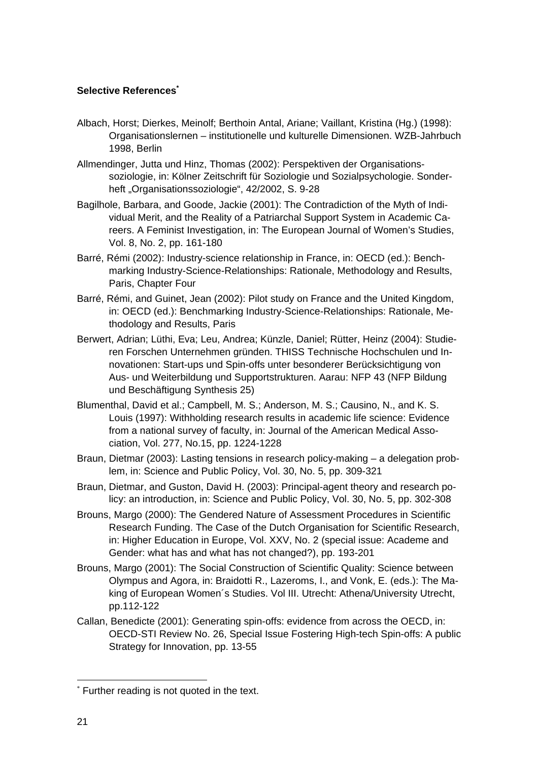## **Selective References\***

- Albach, Horst; Dierkes, Meinolf; Berthoin Antal, Ariane; Vaillant, Kristina (Hg.) (1998): Organisationslernen – institutionelle und kulturelle Dimensionen. WZB-Jahrbuch 1998, Berlin
- Allmendinger, Jutta und Hinz, Thomas (2002): Perspektiven der Organisationssoziologie, in: Kölner Zeitschrift für Soziologie und Sozialpsychologie. Sonderheft "Organisationssoziologie", 42/2002, S. 9-28
- Bagilhole, Barbara, and Goode, Jackie (2001): The Contradiction of the Myth of Individual Merit, and the Reality of a Patriarchal Support System in Academic Careers. A Feminist Investigation, in: The European Journal of Women's Studies, Vol. 8, No. 2, pp. 161-180
- Barré, Rémi (2002): Industry-science relationship in France, in: OECD (ed.): Benchmarking Industry-Science-Relationships: Rationale, Methodology and Results, Paris, Chapter Four
- Barré, Rémi, and Guinet, Jean (2002): Pilot study on France and the United Kingdom, in: OECD (ed.): Benchmarking Industry-Science-Relationships: Rationale, Methodology and Results, Paris
- Berwert, Adrian; Lüthi, Eva; Leu, Andrea; Künzle, Daniel; Rütter, Heinz (2004): Studieren Forschen Unternehmen gründen. THISS Technische Hochschulen und Innovationen: Start-ups und Spin-offs unter besonderer Berücksichtigung von Aus- und Weiterbildung und Supportstrukturen. Aarau: NFP 43 (NFP Bildung und Beschäftigung Synthesis 25)
- Blumenthal, David et al.; Campbell, M. S.; Anderson, M. S.; Causino, N., and K. S. Louis (1997): Withholding research results in academic life science: Evidence from a national survey of faculty, in: Journal of the American Medical Association, Vol. 277, No.15, pp. 1224-1228
- Braun, Dietmar (2003): Lasting tensions in research policy-making a delegation problem, in: Science and Public Policy, Vol. 30, No. 5, pp. 309-321
- Braun, Dietmar, and Guston, David H. (2003): Principal-agent theory and research policy: an introduction, in: Science and Public Policy, Vol. 30, No. 5, pp. 302-308
- Brouns, Margo (2000): The Gendered Nature of Assessment Procedures in Scientific Research Funding. The Case of the Dutch Organisation for Scientific Research, in: Higher Education in Europe, Vol. XXV, No. 2 (special issue: Academe and Gender: what has and what has not changed?), pp. 193-201
- Brouns, Margo (2001): The Social Construction of Scientific Quality: Science between Olympus and Agora, in: Braidotti R., Lazeroms, I., and Vonk, E. (eds.): The Making of European Women´s Studies. Vol III. Utrecht: Athena/University Utrecht, pp.112-122
- Callan, Benedicte (2001): Generating spin-offs: evidence from across the OECD, in: OECD-STI Review No. 26, Special Issue Fostering High-tech Spin-offs: A public Strategy for Innovation, pp. 13-55

 $\overline{a}$ 

<sup>\*</sup> Further reading is not quoted in the text.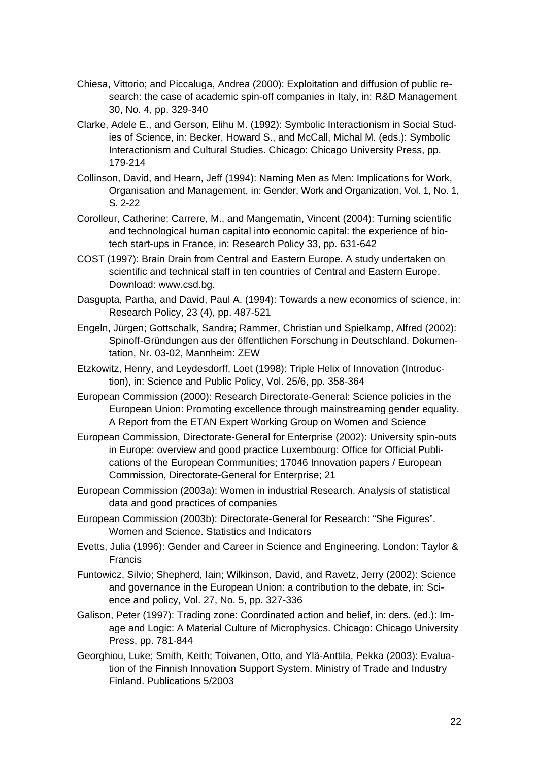- Chiesa, Vittorio; and Piccaluga, Andrea (2000): Exploitation and diffusion of public research: the case of academic spin-off companies in Italy, in: R&D Management 30, No. 4, pp. 329-340
- Clarke, Adele E., and Gerson, Elihu M. (1992): Symbolic Interactionism in Social Studies of Science, in: Becker, Howard S., and McCall, Michal M. (eds.): Symbolic Interactionism and Cultural Studies. Chicago: Chicago University Press, pp. 179-214
- Collinson, David, and Hearn, Jeff (1994): Naming Men as Men: Implications for Work, Organisation and Management, in: Gender, Work and Organization, Vol. 1, No. 1, S. 2-22
- Corolleur, Catherine; Carrere, M., and Mangematin, Vincent (2004): Turning scientific and technological human capital into economic capital: the experience of biotech start-ups in France, in: Research Policy 33, pp. 631-642
- COST (1997): Brain Drain from Central and Eastern Europe. A study undertaken on scientific and technical staff in ten countries of Central and Eastern Europe. Download: www.csd.bg.
- Dasgupta, Partha, and David, Paul A. (1994): Towards a new economics of science, in: Research Policy, 23 (4), pp. 487-521
- Engeln, Jürgen; Gottschalk, Sandra; Rammer, Christian und Spielkamp, Alfred (2002): Spinoff-Gründungen aus der öffentlichen Forschung in Deutschland. Dokumentation, Nr. 03-02, Mannheim: ZEW
- Etzkowitz, Henry, and Leydesdorff, Loet (1998): Triple Helix of Innovation (Introduction), in: Science and Public Policy, Vol. 25/6, pp. 358-364
- European Commission (2000): Research Directorate-General: Science policies in the European Union: Promoting excellence through mainstreaming gender equality. A Report from the ETAN Expert Working Group on Women and Science
- European Commission, Directorate-General for Enterprise (2002): University spin-outs in Europe: overview and good practice Luxembourg: Office for Official Publications of the European Communities; 17046 Innovation papers / European Commission, Directorate-General for Enterprise; 21
- European Commission (2003a): Women in industrial Research. Analysis of statistical data and good practices of companies
- European Commission (2003b): Directorate-General for Research: "She Figures". Women and Science. Statistics and Indicators
- Evetts, Julia (1996): Gender and Career in Science and Engineering. London: Taylor & Francis
- Funtowicz, Silvio; Shepherd, Iain; Wilkinson, David, and Ravetz, Jerry (2002): Science and governance in the European Union: a contribution to the debate, in: Science and policy, Vol. 27, No. 5, pp. 327-336
- Galison, Peter (1997): Trading zone: Coordinated action and belief, in: ders. (ed.): Image and Logic: A Material Culture of Microphysics. Chicago: Chicago University Press, pp. 781-844
- Georghiou, Luke; Smith, Keith; Toivanen, Otto, and Ylä-Anttila, Pekka (2003): Evaluation of the Finnish Innovation Support System. Ministry of Trade and Industry Finland. Publications 5/2003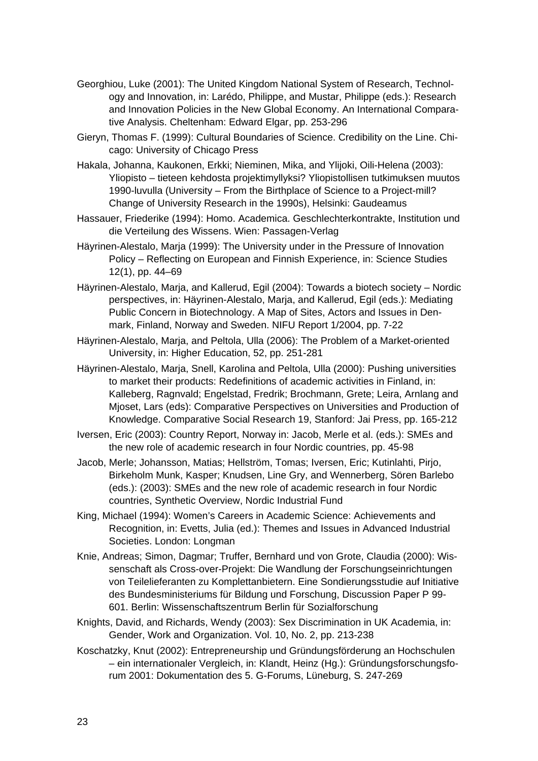- Georghiou, Luke (2001): The United Kingdom National System of Research, Technology and Innovation, in: Larédo, Philippe, and Mustar, Philippe (eds.): Research and Innovation Policies in the New Global Economy. An International Comparative Analysis. Cheltenham: Edward Elgar, pp. 253-296
- Gieryn, Thomas F. (1999): Cultural Boundaries of Science. Credibility on the Line. Chicago: University of Chicago Press
- Hakala, Johanna, Kaukonen, Erkki; Nieminen, Mika, and Ylijoki, Oili-Helena (2003): Yliopisto – tieteen kehdosta projektimyllyksi? Yliopistollisen tutkimuksen muutos 1990-luvulla (University – From the Birthplace of Science to a Project-mill? Change of University Research in the 1990s), Helsinki: Gaudeamus
- Hassauer, Friederike (1994): Homo. Academica. Geschlechterkontrakte, Institution und die Verteilung des Wissens. Wien: Passagen-Verlag
- Häyrinen-Alestalo, Marja (1999): The University under in the Pressure of Innovation Policy – Reflecting on European and Finnish Experience, in: Science Studies 12(1), pp. 44–69
- Häyrinen-Alestalo, Marja, and Kallerud, Egil (2004): Towards a biotech society Nordic perspectives, in: Häyrinen-Alestalo, Marja, and Kallerud, Egil (eds.): Mediating Public Concern in Biotechnology. A Map of Sites, Actors and Issues in Denmark, Finland, Norway and Sweden. NIFU Report 1/2004, pp. 7-22
- Häyrinen-Alestalo, Marja, and Peltola, Ulla (2006): The Problem of a Market-oriented University, in: Higher Education, 52, pp. 251-281
- Häyrinen-Alestalo, Marja, Snell, Karolina and Peltola, Ulla (2000): Pushing universities to market their products: Redefinitions of academic activities in Finland, in: Kalleberg, Ragnvald; Engelstad, Fredrik; Brochmann, Grete; Leira, Arnlang and Mjoset, Lars (eds): Comparative Perspectives on Universities and Production of Knowledge. Comparative Social Research 19, Stanford: Jai Press, pp. 165-212
- Iversen, Eric (2003): Country Report, Norway in: Jacob, Merle et al. (eds.): SMEs and the new role of academic research in four Nordic countries, pp. 45-98
- Jacob, Merle; Johansson, Matias; Hellström, Tomas; Iversen, Eric; Kutinlahti, Pirjo, Birkeholm Munk, Kasper; Knudsen, Line Gry, and Wennerberg, Sören Barlebo (eds.): (2003): SMEs and the new role of academic research in four Nordic countries, Synthetic Overview, Nordic Industrial Fund
- King, Michael (1994): Women's Careers in Academic Science: Achievements and Recognition, in: Evetts, Julia (ed.): Themes and Issues in Advanced Industrial Societies. London: Longman
- Knie, Andreas; Simon, Dagmar; Truffer, Bernhard und von Grote, Claudia (2000): Wissenschaft als Cross-over-Projekt: Die Wandlung der Forschungseinrichtungen von Teilelieferanten zu Komplettanbietern. Eine Sondierungsstudie auf Initiative des Bundesministeriums für Bildung und Forschung, Discussion Paper P 99- 601. Berlin: Wissenschaftszentrum Berlin für Sozialforschung
- Knights, David, and Richards, Wendy (2003): Sex Discrimination in UK Academia, in: Gender, Work and Organization. Vol. 10, No. 2, pp. 213-238
- Koschatzky, Knut (2002): Entrepreneurship und Gründungsförderung an Hochschulen – ein internationaler Vergleich, in: Klandt, Heinz (Hg.): Gründungsforschungsforum 2001: Dokumentation des 5. G-Forums, Lüneburg, S. 247-269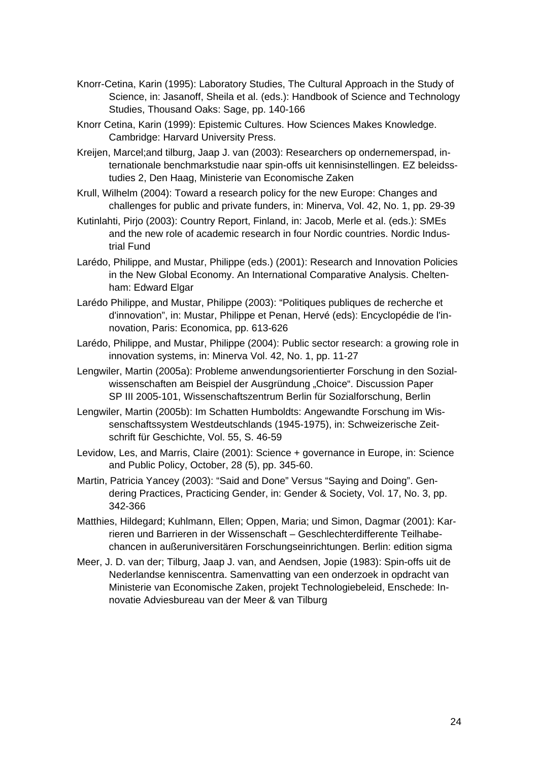- Knorr-Cetina, Karin (1995): Laboratory Studies, The Cultural Approach in the Study of Science, in: Jasanoff, Sheila et al. (eds.): Handbook of Science and Technology Studies, Thousand Oaks: Sage, pp. 140-166
- Knorr Cetina, Karin (1999): Epistemic Cultures. How Sciences Makes Knowledge. Cambridge: Harvard University Press.
- Kreijen, Marcel;and tilburg, Jaap J. van (2003): Researchers op ondernemerspad, internationale benchmarkstudie naar spin-offs uit kennisinstellingen. EZ beleidsstudies 2, Den Haag, Ministerie van Economische Zaken
- Krull, Wilhelm (2004): Toward a research policy for the new Europe: Changes and challenges for public and private funders, in: Minerva, Vol. 42, No. 1, pp. 29-39
- Kutinlahti, Pirjo (2003): Country Report, Finland, in: Jacob, Merle et al. (eds.): SMEs and the new role of academic research in four Nordic countries. Nordic Industrial Fund
- Larédo, Philippe, and Mustar, Philippe (eds.) (2001): Research and Innovation Policies in the New Global Economy. An International Comparative Analysis. Cheltenham: Edward Elgar
- Larédo Philippe, and Mustar, Philippe (2003): "Politiques publiques de recherche et d'innovation", in: Mustar, Philippe et Penan, Hervé (eds): Encyclopédie de l'innovation, Paris: Economica, pp. 613-626
- Larédo, Philippe, and Mustar, Philippe (2004): Public sector research: a growing role in innovation systems, in: Minerva Vol. 42, No. 1, pp. 11-27
- Lengwiler, Martin (2005a): Probleme anwendungsorientierter Forschung in den Sozialwissenschaften am Beispiel der Ausgründung "Choice". Discussion Paper SP III 2005-101, Wissenschaftszentrum Berlin für Sozialforschung, Berlin
- Lengwiler, Martin (2005b): Im Schatten Humboldts: Angewandte Forschung im Wissenschaftssystem Westdeutschlands (1945-1975), in: Schweizerische Zeitschrift für Geschichte, Vol. 55, S. 46-59
- Levidow, Les, and Marris, Claire (2001): Science + governance in Europe, in: Science and Public Policy, October, 28 (5), pp. 345-60.
- Martin, Patricia Yancey (2003): "Said and Done" Versus "Saying and Doing". Gendering Practices, Practicing Gender, in: Gender & Society, Vol. 17, No. 3, pp. 342-366
- Matthies, Hildegard; Kuhlmann, Ellen; Oppen, Maria; und Simon, Dagmar (2001): Karrieren und Barrieren in der Wissenschaft – Geschlechterdifferente Teilhabechancen in außeruniversitären Forschungseinrichtungen. Berlin: edition sigma
- Meer, J. D. van der; Tilburg, Jaap J. van, and Aendsen, Jopie (1983): Spin-offs uit de Nederlandse kenniscentra. Samenvatting van een onderzoek in opdracht van Ministerie van Economische Zaken, projekt Technologiebeleid, Enschede: Innovatie Adviesbureau van der Meer & van Tilburg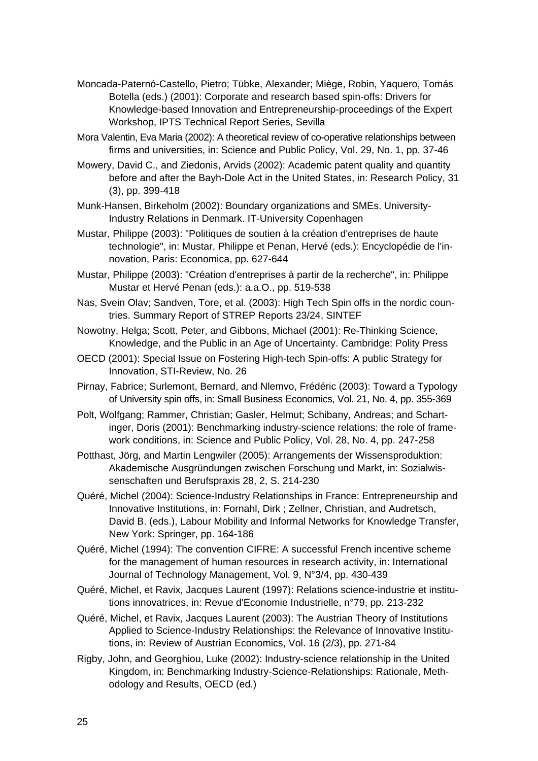- Moncada-Paternó-Castello, Pietro; Tübke, Alexander; Miège, Robin, Yaquero, Tomás Botella (eds.) (2001): Corporate and research based spin-offs: Drivers for Knowledge-based Innovation and Entrepreneurship-proceedings of the Expert Workshop, IPTS Technical Report Series, Sevilla
- Mora Valentin, Eva Maria (2002): A theoretical review of co-operative relationships between firms and universities, in: Science and Public Policy, Vol. 29, No. 1, pp. 37-46
- Mowery, David C., and Ziedonis, Arvids (2002): Academic patent quality and quantity before and after the Bayh-Dole Act in the United States, in: Research Policy, 31 (3), pp. 399-418
- Munk-Hansen, Birkeholm (2002): Boundary organizations and SMEs. University-Industry Relations in Denmark. IT-University Copenhagen
- Mustar, Philippe (2003): "Politiques de soutien à la création d'entreprises de haute technologie", in: Mustar, Philippe et Penan, Hervé (eds.): Encyclopédie de l'innovation, Paris: Economica, pp. 627-644
- Mustar, Philippe (2003): "Création d'entreprises à partir de la recherche", in: Philippe Mustar et Hervé Penan (eds.): a.a.O., pp. 519-538
- Nas, Svein Olav; Sandven, Tore, et al. (2003): High Tech Spin offs in the nordic countries. Summary Report of STREP Reports 23/24, SINTEF
- Nowotny, Helga; Scott, Peter, and Gibbons, Michael (2001): Re-Thinking Science, Knowledge, and the Public in an Age of Uncertainty. Cambridge: Polity Press
- OECD (2001): Special Issue on Fostering High-tech Spin-offs: A public Strategy for Innovation, STI-Review, No. 26
- Pirnay, Fabrice; Surlemont, Bernard, and Nlemvo, Frédéric (2003): Toward a Typology of University spin offs, in: Small Business Economics, Vol. 21, No. 4, pp. 355-369
- Polt, Wolfgang; Rammer, Christian; Gasler, Helmut; Schibany, Andreas; and Schartinger, Doris (2001): Benchmarking industry-science relations: the role of framework conditions, in: Science and Public Policy, Vol. 28, No. 4, pp. 247-258
- Potthast, Jörg, and Martin Lengwiler (2005): Arrangements der Wissensproduktion: Akademische Ausgründungen zwischen Forschung und Markt, in: Sozialwissenschaften und Berufspraxis 28, 2, S. 214-230
- Quéré, Michel (2004): Science-Industry Relationships in France: Entrepreneurship and Innovative Institutions, in: Fornahl, Dirk ; Zellner, Christian, and Audretsch, David B. (eds.), Labour Mobility and Informal Networks for Knowledge Transfer, New York: Springer, pp. 164-186
- Quéré, Michel (1994): The convention CIFRE: A successful French incentive scheme for the management of human resources in research activity, in: International Journal of Technology Management, Vol. 9, N°3/4, pp. 430-439
- Quéré, Michel, et Ravix, Jacques Laurent (1997): Relations science-industrie et institutions innovatrices, in: Revue d'Economie Industrielle, n°79, pp. 213-232
- Quéré, Michel, et Ravix, Jacques Laurent (2003): The Austrian Theory of Institutions Applied to Science-Industry Relationships: the Relevance of Innovative Institutions, in: Review of Austrian Economics, Vol. 16 (2/3), pp. 271-84
- Rigby, John, and Georghiou, Luke (2002): Industry-science relationship in the United Kingdom, in: Benchmarking Industry-Science-Relationships: Rationale, Methodology and Results, OECD (ed.)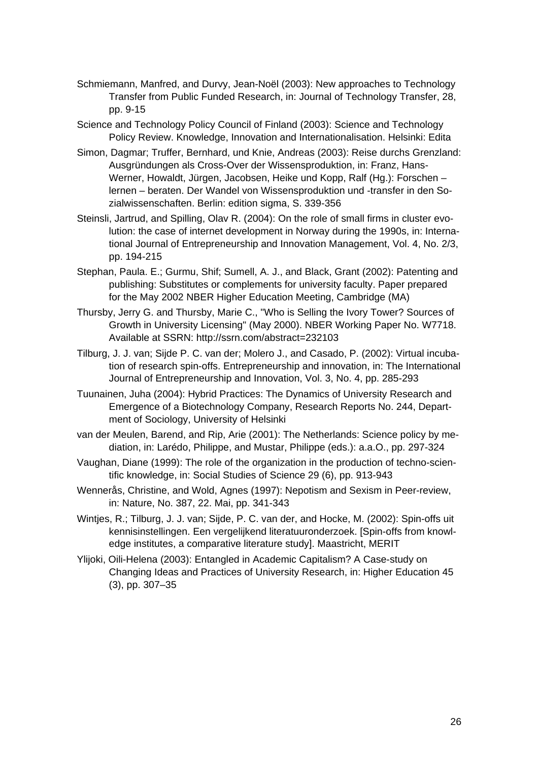- Schmiemann, Manfred, and Durvy, Jean-Noël (2003): New approaches to Technology Transfer from Public Funded Research, in: Journal of Technology Transfer, 28, pp. 9-15
- Science and Technology Policy Council of Finland (2003): Science and Technology Policy Review. Knowledge, Innovation and Internationalisation. Helsinki: Edita
- Simon, Dagmar; Truffer, Bernhard, und Knie, Andreas (2003): Reise durchs Grenzland: Ausgründungen als Cross-Over der Wissensproduktion, in: Franz, Hans-Werner, Howaldt, Jürgen, Jacobsen, Heike und Kopp, Ralf (Hg.): Forschen – lernen – beraten. Der Wandel von Wissensproduktion und -transfer in den Sozialwissenschaften. Berlin: edition sigma, S. 339-356
- Steinsli, Jartrud, and Spilling, Olav R. (2004): On the role of small firms in cluster evolution: the case of internet development in Norway during the 1990s, in: International Journal of Entrepreneurship and Innovation Management, Vol. 4, No. 2/3, pp. 194-215
- Stephan, Paula. E.; Gurmu, Shif; Sumell, A. J., and Black, Grant (2002): Patenting and publishing: Substitutes or complements for university faculty. Paper prepared for the May 2002 NBER Higher Education Meeting, Cambridge (MA)
- Thursby, Jerry G. and Thursby, Marie C., "Who is Selling the Ivory Tower? Sources of Growth in University Licensing" (May 2000). NBER Working Paper No. W7718. Available at SSRN: http://ssrn.com/abstract=232103
- Tilburg, J. J. van; Sijde P. C. van der; Molero J., and Casado, P. (2002): Virtual incubation of research spin-offs. Entrepreneurship and innovation, in: The International Journal of Entrepreneurship and Innovation, Vol. 3, No. 4, pp. 285-293
- Tuunainen, Juha (2004): Hybrid Practices: The Dynamics of University Research and Emergence of a Biotechnology Company, Research Reports No. 244, Department of Sociology, University of Helsinki
- van der Meulen, Barend, and Rip, Arie (2001): The Netherlands: Science policy by mediation, in: Larédo, Philippe, and Mustar, Philippe (eds.): a.a.O., pp. 297-324
- Vaughan, Diane (1999): The role of the organization in the production of techno-scientific knowledge, in: Social Studies of Science 29 (6), pp. 913-943
- Wennerås, Christine, and Wold, Agnes (1997): Nepotism and Sexism in Peer-review, in: Nature, No. 387, 22. Mai, pp. 341-343
- Wintjes, R.; Tilburg, J. J. van; Sijde, P. C. van der, and Hocke, M. (2002): Spin-offs uit kennisinstellingen. Een vergelijkend literatuuronderzoek. [Spin-offs from knowledge institutes, a comparative literature study]. Maastricht, MERIT
- Ylijoki, Oili-Helena (2003): Entangled in Academic Capitalism? A Case-study on Changing Ideas and Practices of University Research, in: Higher Education 45 (3), pp. 307–35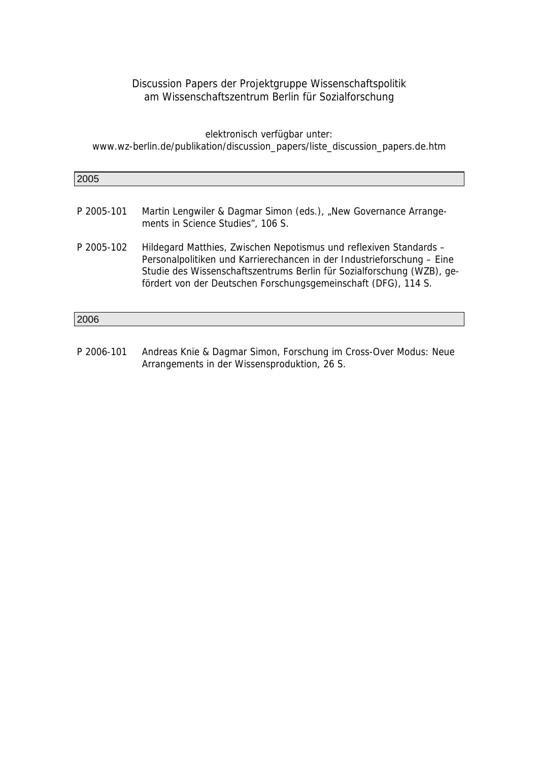## Discussion Papers der Projektgruppe Wissenschaftspolitik am Wissenschaftszentrum Berlin für Sozialforschung

elektronisch verfügbar unter: www.wz-berlin.de/publikation/discussion\_papers/liste\_discussion\_papers.de.htm

| 2005       |                                                                                                                                                                                                                                                                                          |
|------------|------------------------------------------------------------------------------------------------------------------------------------------------------------------------------------------------------------------------------------------------------------------------------------------|
|            |                                                                                                                                                                                                                                                                                          |
| P 2005-101 | Martin Lengwiler & Dagmar Simon (eds.), "New Governance Arrange-<br>ments in Science Studies", 106 S.                                                                                                                                                                                    |
| P 2005-102 | Hildegard Matthies, Zwischen Nepotismus und reflexiven Standards -<br>Personalpolitiken und Karrierechancen in der Industrieforschung - Eine<br>Studie des Wissenschaftszentrums Berlin für Sozialforschung (WZB), ge-<br>fördert von der Deutschen Forschungsgemeinschaft (DFG), 114 S. |
| 2006       |                                                                                                                                                                                                                                                                                          |
|            |                                                                                                                                                                                                                                                                                          |

P 2006-101 Andreas Knie & Dagmar Simon, Forschung im Cross-Over Modus: Neue Arrangements in der Wissensproduktion, 26 S.